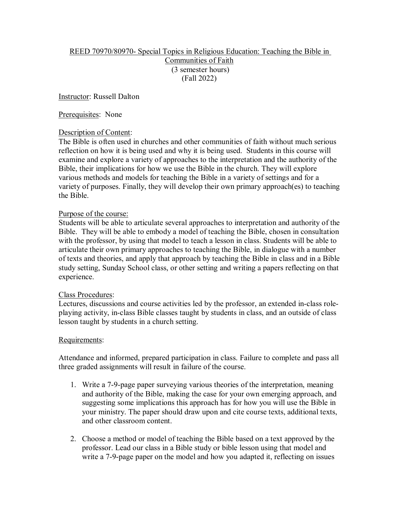# REED 70970/80970- Special Topics in Religious Education: Teaching the Bible in Communities of Faith (3 semester hours) (Fall 2022)

Instructor: Russell Dalton

## Prerequisites: None

# Description of Content:

The Bible is often used in churches and other communities of faith without much serious reflection on how it is being used and why it is being used. Students in this course will examine and explore a variety of approaches to the interpretation and the authority of the Bible, their implications for how we use the Bible in the church. They will explore various methods and models for teaching the Bible in a variety of settings and for a variety of purposes. Finally, they will develop their own primary approach(es) to teaching the Bible.

## Purpose of the course:

Students will be able to articulate several approaches to interpretation and authority of the Bible. They will be able to embody a model of teaching the Bible, chosen in consultation with the professor, by using that model to teach a lesson in class. Students will be able to articulate their own primary approaches to teaching the Bible, in dialogue with a number of texts and theories, and apply that approach by teaching the Bible in class and in a Bible study setting, Sunday School class, or other setting and writing a papers reflecting on that experience.

#### Class Procedures:

Lectures, discussions and course activities led by the professor, an extended in-class roleplaying activity, in-class Bible classes taught by students in class, and an outside of class lesson taught by students in a church setting.

#### Requirements:

Attendance and informed, prepared participation in class. Failure to complete and pass all three graded assignments will result in failure of the course.

- 1. Write a 7-9-page paper surveying various theories of the interpretation, meaning and authority of the Bible, making the case for your own emerging approach, and suggesting some implications this approach has for how you will use the Bible in your ministry. The paper should draw upon and cite course texts, additional texts, and other classroom content.
- 2. Choose a method or model of teaching the Bible based on a text approved by the professor. Lead our class in a Bible study or bible lesson using that model and write a 7-9-page paper on the model and how you adapted it, reflecting on issues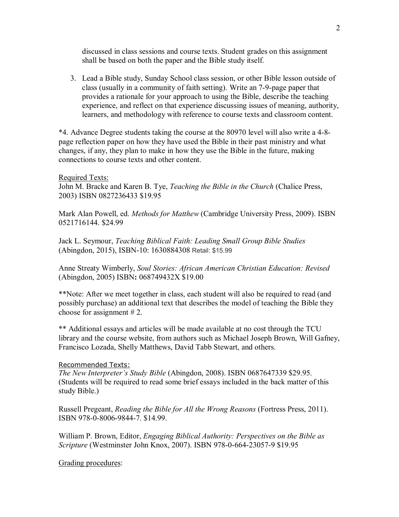discussed in class sessions and course texts. Student grades on this assignment shall be based on both the paper and the Bible study itself.

3. Lead a Bible study, Sunday School class session, or other Bible lesson outside of class (usually in a community of faith setting). Write an 7-9-page paper that provides a rationale for your approach to using the Bible, describe the teaching experience, and reflect on that experience discussing issues of meaning, authority, learners, and methodology with reference to course texts and classroom content.

\*4. Advance Degree students taking the course at the 80970 level will also write a 4-8 page reflection paper on how they have used the Bible in their past ministry and what changes, if any, they plan to make in how they use the Bible in the future, making connections to course texts and other content.

#### Required Texts:

John M. Bracke and Karen B. Tye, *Teaching the Bible in the Church* (Chalice Press, 2003) ISBN 0827236433 \$19.95

Mark Alan Powell, ed. *Methods for Matthew* (Cambridge University Press, 2009). ISBN 0521716144. \$24.99

Jack L. Seymour, *Teaching Biblical Faith: Leading Small Group Bible Studies*  (Abingdon, 2015), ISBN-10: 1630884308 Retail: \$15.99

Anne Streaty Wimberly, *Soul Stories: African American Christian Education: Revised*  (Abingdon, 2005) ISBN**:** 068749432X \$19.00

\*\*Note: After we meet together in class, each student will also be required to read (and possibly purchase) an additional text that describes the model of teaching the Bible they choose for assignment # 2.

\*\* Additional essays and articles will be made available at no cost through the TCU library and the course website, from authors such as Michael Joseph Brown, Will Gafney, Francisco Lozada, Shelly Matthews, David Tabb Stewart, and others.

#### Recommended Texts:

*The New Interpreter's Study Bible* (Abingdon, 2008). ISBN 0687647339 \$29.95. (Students will be required to read some brief essays included in the back matter of this study Bible.)

Russell Pregeant, *Reading the Bible for All the Wrong Reasons* (Fortress Press, 2011). ISBN 978-0-8006-9844-7. \$14.99.

William P. Brown, Editor, *Engaging Biblical Authority: Perspectives on the Bible as Scripture* (Westminster John Knox, 2007). ISBN 978-0-664-23057-9 \$19.95

Grading procedures: